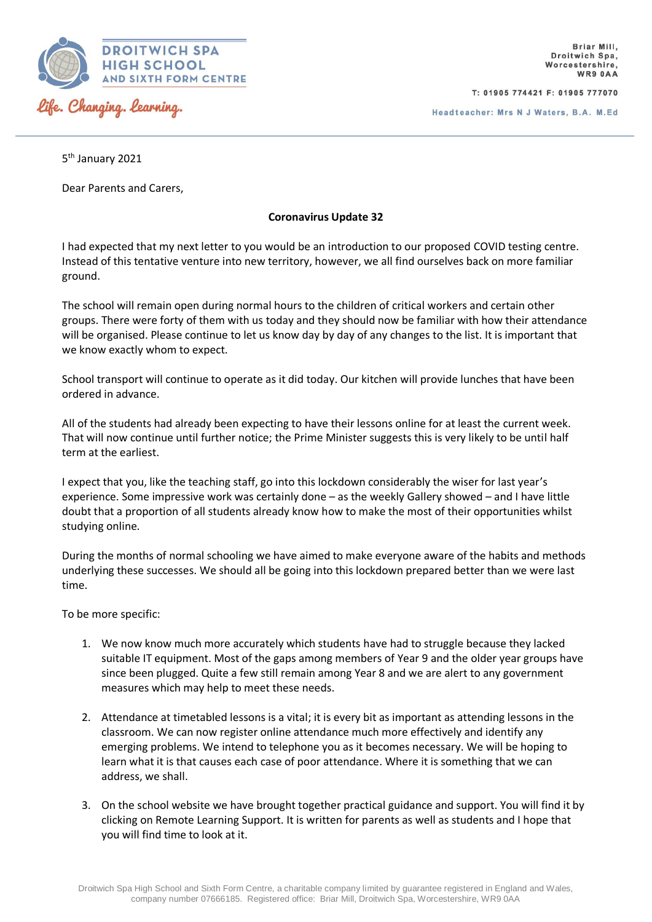

T: 01905 774421 F: 01905 777070

5<sup>th</sup> January 2021

Dear Parents and Carers,

## **Coronavirus Update 32**

I had expected that my next letter to you would be an introduction to our proposed COVID testing centre. Instead of this tentative venture into new territory, however, we all find ourselves back on more familiar ground.

The school will remain open during normal hours to the children of critical workers and certain other groups. There were forty of them with us today and they should now be familiar with how their attendance will be organised. Please continue to let us know day by day of any changes to the list. It is important that we know exactly whom to expect.

School transport will continue to operate as it did today. Our kitchen will provide lunches that have been ordered in advance.

All of the students had already been expecting to have their lessons online for at least the current week. That will now continue until further notice; the Prime Minister suggests this is very likely to be until half term at the earliest.

I expect that you, like the teaching staff, go into this lockdown considerably the wiser for last year's experience. Some impressive work was certainly done – as the weekly Gallery showed – and I have little doubt that a proportion of all students already know how to make the most of their opportunities whilst studying online.

During the months of normal schooling we have aimed to make everyone aware of the habits and methods underlying these successes. We should all be going into this lockdown prepared better than we were last time.

To be more specific:

- 1. We now know much more accurately which students have had to struggle because they lacked suitable IT equipment. Most of the gaps among members of Year 9 and the older year groups have since been plugged. Quite a few still remain among Year 8 and we are alert to any government measures which may help to meet these needs.
- 2. Attendance at timetabled lessons is a vital; it is every bit as important as attending lessons in the classroom. We can now register online attendance much more effectively and identify any emerging problems. We intend to telephone you as it becomes necessary. We will be hoping to learn what it is that causes each case of poor attendance. Where it is something that we can address, we shall.
- 3. On the school website we have brought together practical guidance and support. You will find it by clicking on Remote Learning Support. It is written for parents as well as students and I hope that you will find time to look at it.